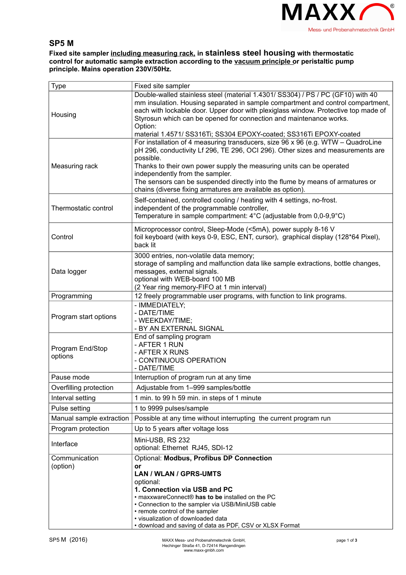

## **SP5 M**

**Fixed site sampler including measuring rack, in stainless steel housing with thermostatic control for automatic sample extraction according to the vacuum principle or peristaltic pump principle. Mains operation 230V/50Hz.**

| <b>Type</b>                 | Fixed site sampler                                                                                                                                                                                                                                                                                                                                                                                                                         |
|-----------------------------|--------------------------------------------------------------------------------------------------------------------------------------------------------------------------------------------------------------------------------------------------------------------------------------------------------------------------------------------------------------------------------------------------------------------------------------------|
| Housing                     | Double-walled stainless steel (material 1.4301/ SS304) / PS / PC (GF10) with 40<br>mm insulation. Housing separated in sample compartment and control compartment,<br>each with lockable door. Upper door with plexiglass window. Protective top made of<br>Styrosun which can be opened for connection and maintenance works.<br>Option:<br>material 1.4571/ SS316Ti; SS304 EPOXY-coated; SS316Ti EPOXY-coated                            |
| Measuring rack              | For installation of 4 measuring transducers, size 96 x 96 (e.g. WTW - QuadroLine<br>pH 296, conductivity Lf 296, TE 296, OCI 296). Other sizes and measurements are<br>possible.<br>Thanks to their own power supply the measuring units can be operated<br>independently from the sampler.<br>The sensors can be suspended directly into the flume by means of armatures or<br>chains (diverse fixing armatures are available as option). |
| Thermostatic control        | Self-contained, controlled cooling / heating with 4 settings, no-frost.<br>independent of the programmable controller,<br>Temperature in sample compartment: $4^{\circ}$ C (adjustable from 0,0-9,9 $^{\circ}$ C)                                                                                                                                                                                                                          |
| Control                     | Microprocessor control, Sleep-Mode (<5mA), power supply 8-16 V<br>foil keyboard (with keys 0-9, ESC, ENT, cursor), graphical display (128*64 Pixel),<br>back lit                                                                                                                                                                                                                                                                           |
| Data logger                 | 3000 entries, non-volatile data memory;<br>storage of sampling and malfunction data like sample extractions, bottle changes,<br>messages, external signals.<br>optional with WEB-board 100 MB<br>(2 Year ring memory-FIFO at 1 min interval)                                                                                                                                                                                               |
| Programming                 | 12 freely programmable user programs, with function to link programs.                                                                                                                                                                                                                                                                                                                                                                      |
| Program start options       | - IMMEDIATELY;<br>- DATE/TIME<br>- WEEKDAY/TIME;<br>- BY AN EXTERNAL SIGNAL                                                                                                                                                                                                                                                                                                                                                                |
| Program End/Stop<br>options | End of sampling program<br>- AFTER 1 RUN<br>- AFTER X RUNS<br>- CONTINUOUS OPERATION<br>- DATE/TIME                                                                                                                                                                                                                                                                                                                                        |
| Pause mode                  | Interruption of program run at any time                                                                                                                                                                                                                                                                                                                                                                                                    |
| Overfilling protection      | Adjustable from 1-999 samples/bottle                                                                                                                                                                                                                                                                                                                                                                                                       |
| Interval setting            | 1 min. to 99 h 59 min. in steps of 1 minute                                                                                                                                                                                                                                                                                                                                                                                                |
| Pulse setting               | 1 to 9999 pulses/sample                                                                                                                                                                                                                                                                                                                                                                                                                    |
| Manual sample extraction    | Possible at any time without interrupting the current program run                                                                                                                                                                                                                                                                                                                                                                          |
| Program protection          | Up to 5 years after voltage loss                                                                                                                                                                                                                                                                                                                                                                                                           |
| Interface                   | Mini-USB, RS 232<br>optional: Ethernet RJ45, SDI-12                                                                                                                                                                                                                                                                                                                                                                                        |
| Communication<br>(option)   | Optional: Modbus, Profibus DP Connection<br>or<br><b>LAN / WLAN / GPRS-UMTS</b><br>optional:<br>1. Connection via USB and PC<br>• maxxwareConnect® has to be installed on the PC<br>• Connection to the sampler via USB/MiniUSB cable<br>• remote control of the sampler<br>· visualization of downloaded data<br>• download and saving of data as PDF, CSV or XLSX Format                                                                 |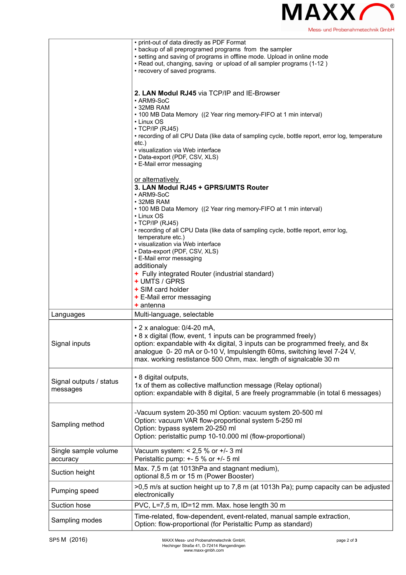

|                                     | • print-out of data directly as PDF Format<br>• backup of all preprogramed programs from the sampler<br>• setting and saving of programs in offline mode. Upload in online mode<br>. Read out, changing, saving or upload of all sampler programs (1-12)<br>• recovery of saved programs.                                                                                                            |
|-------------------------------------|------------------------------------------------------------------------------------------------------------------------------------------------------------------------------------------------------------------------------------------------------------------------------------------------------------------------------------------------------------------------------------------------------|
|                                     | 2. LAN Modul RJ45 via TCP/IP and IE-Browser<br>• ARM9-SoC<br>• 32MB RAM<br>• 100 MB Data Memory ((2 Year ring memory-FIFO at 1 min interval)<br>• Linux OS<br>$\cdot$ TCP/IP (RJ45)<br>• recording of all CPU Data (like data of sampling cycle, bottle report, error log, temperature<br>$etc.$ )<br>• visualization via Web interface<br>• Data-export (PDF, CSV, XLS)<br>• E-Mail error messaging |
|                                     | or alternatively<br>3. LAN Modul RJ45 + GPRS/UMTS Router<br>• ARM9-SoC<br>• 32MB RAM<br>• 100 MB Data Memory ((2 Year ring memory-FIFO at 1 min interval)                                                                                                                                                                                                                                            |
|                                     | • Linux OS<br>$\cdot$ TCP/IP (RJ45)<br>• recording of all CPU Data (like data of sampling cycle, bottle report, error log,<br>temperature etc.)<br>• visualization via Web interface<br>• Data-export (PDF, CSV, XLS)<br>• E-Mail error messaging                                                                                                                                                    |
|                                     | additionaly<br>+ Fully integrated Router (industrial standard)<br>+ UMTS / GPRS<br>+ SIM card holder<br>+ E-Mail error messaging                                                                                                                                                                                                                                                                     |
| Languages                           | $+$ antenna<br>Multi-language, selectable                                                                                                                                                                                                                                                                                                                                                            |
| Signal inputs                       | $\cdot$ 2 x analogue: 0/4-20 mA,<br>• 8 x digital (flow, event, 1 inputs can be programmed freely)<br>option: expandable with 4x digital, 3 inputs can be programmed freely, and 8x<br>analogue 0-20 mA or 0-10 V, Impulslength 60ms, switching level 7-24 V,<br>max. working restistance 500 Ohm, max. length of signalcable 30 m                                                                   |
| Signal outputs / status<br>messages | • 8 digital outputs,<br>1x of them as collective malfunction message (Relay optional)<br>option: expandable with 8 digital, 5 are freely programmable (in total 6 messages)                                                                                                                                                                                                                          |
| Sampling method                     | -Vacuum system 20-350 ml Option: vacuum system 20-500 ml<br>Option: vacuum VAR flow-proportional system 5-250 ml<br>Option: bypass system 20-250 ml<br>Option: peristaltic pump 10-10.000 ml (flow-proportional)                                                                                                                                                                                     |
| Single sample volume<br>accuracy    | Vacuum system: $< 2.5$ % or $+/- 3$ ml<br>Peristaltic pump: +- 5 % or +/- 5 ml                                                                                                                                                                                                                                                                                                                       |
| Suction height                      | Max. 7,5 m (at 1013hPa and stagnant medium),<br>optional 8,5 m or 15 m (Power Booster)                                                                                                                                                                                                                                                                                                               |
| Pumping speed                       | >0,5 m/s at suction height up to 7,8 m (at 1013h Pa); pump capacity can be adjusted<br>electronically                                                                                                                                                                                                                                                                                                |
| Suction hose                        | PVC, L=7,5 m, ID=12 mm. Max. hose length 30 m                                                                                                                                                                                                                                                                                                                                                        |
| Sampling modes                      | Time-related, flow-dependent, event-related, manual sample extraction,<br>Option: flow-proportional (for Peristaltic Pump as standard)                                                                                                                                                                                                                                                               |